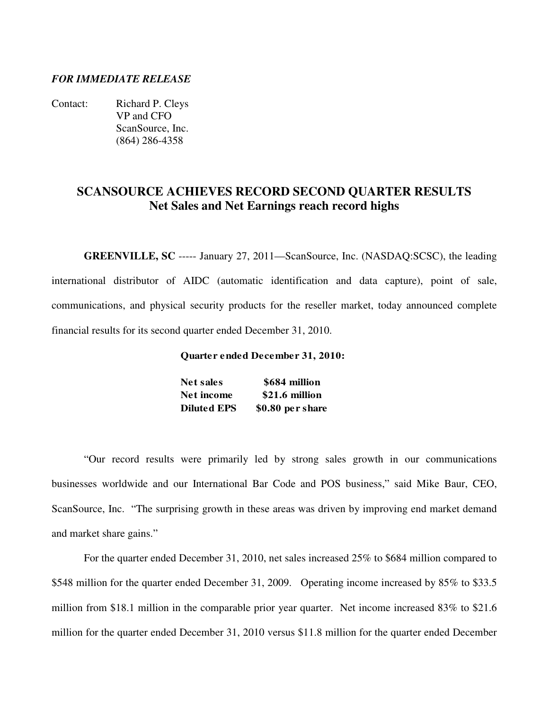## *FOR IMMEDIATE RELEASE*

Contact: Richard P. Cleys VP and CFO ScanSource, Inc. (864) 286-4358

# **SCANSOURCE ACHIEVES RECORD SECOND QUARTER RESULTS Net Sales and Net Earnings reach record highs**

**GREENVILLE, SC** ----- January 27, 2011—ScanSource, Inc. (NASDAQ:SCSC), the leading international distributor of AIDC (automatic identification and data capture), point of sale, communications, and physical security products for the reseller market, today announced complete financial results for its second quarter ended December 31, 2010.

#### **Quarter ended December 31, 2010:**

| <b>Net sales</b>   | \$684 million    |
|--------------------|------------------|
| Net income         | \$21.6 million   |
| <b>Diluted EPS</b> | \$0.80 per share |

 "Our record results were primarily led by strong sales growth in our communications businesses worldwide and our International Bar Code and POS business," said Mike Baur, CEO, ScanSource, Inc. "The surprising growth in these areas was driven by improving end market demand and market share gains."

 For the quarter ended December 31, 2010, net sales increased 25% to \$684 million compared to \$548 million for the quarter ended December 31, 2009. Operating income increased by 85% to \$33.5 million from \$18.1 million in the comparable prior year quarter. Net income increased 83% to \$21.6 million for the quarter ended December 31, 2010 versus \$11.8 million for the quarter ended December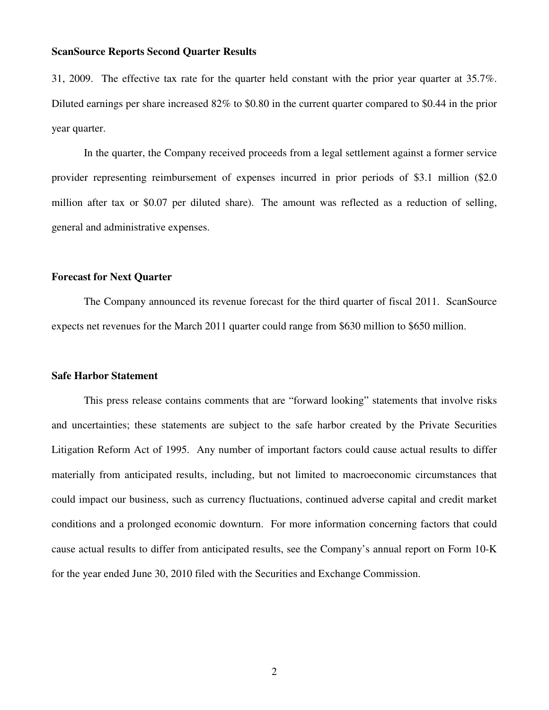31, 2009. The effective tax rate for the quarter held constant with the prior year quarter at 35.7%. Diluted earnings per share increased 82% to \$0.80 in the current quarter compared to \$0.44 in the prior year quarter.

In the quarter, the Company received proceeds from a legal settlement against a former service provider representing reimbursement of expenses incurred in prior periods of \$3.1 million (\$2.0 million after tax or \$0.07 per diluted share). The amount was reflected as a reduction of selling, general and administrative expenses.

#### **Forecast for Next Quarter**

 The Company announced its revenue forecast for the third quarter of fiscal 2011. ScanSource expects net revenues for the March 2011 quarter could range from \$630 million to \$650 million.

#### **Safe Harbor Statement**

 This press release contains comments that are "forward looking" statements that involve risks and uncertainties; these statements are subject to the safe harbor created by the Private Securities Litigation Reform Act of 1995. Any number of important factors could cause actual results to differ materially from anticipated results, including, but not limited to macroeconomic circumstances that could impact our business, such as currency fluctuations, continued adverse capital and credit market conditions and a prolonged economic downturn. For more information concerning factors that could cause actual results to differ from anticipated results, see the Company's annual report on Form 10-K for the year ended June 30, 2010 filed with the Securities and Exchange Commission.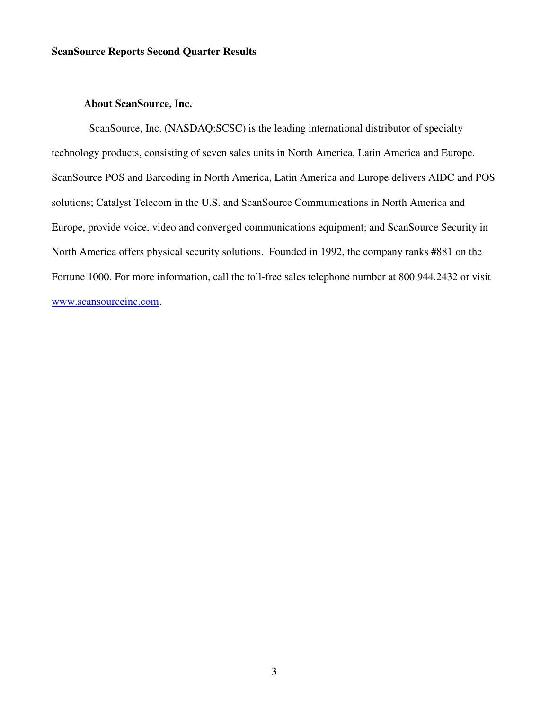# **About ScanSource, Inc.**

 ScanSource, Inc. (NASDAQ:SCSC) is the leading international distributor of specialty technology products, consisting of seven sales units in North America, Latin America and Europe. ScanSource POS and Barcoding in North America, Latin America and Europe delivers AIDC and POS solutions; Catalyst Telecom in the U.S. and ScanSource Communications in North America and Europe, provide voice, video and converged communications equipment; and ScanSource Security in North America offers physical security solutions. Founded in 1992, the company ranks #881 on the Fortune 1000. For more information, call the toll-free sales telephone number at 800.944.2432 or visit www.scansourceinc.com.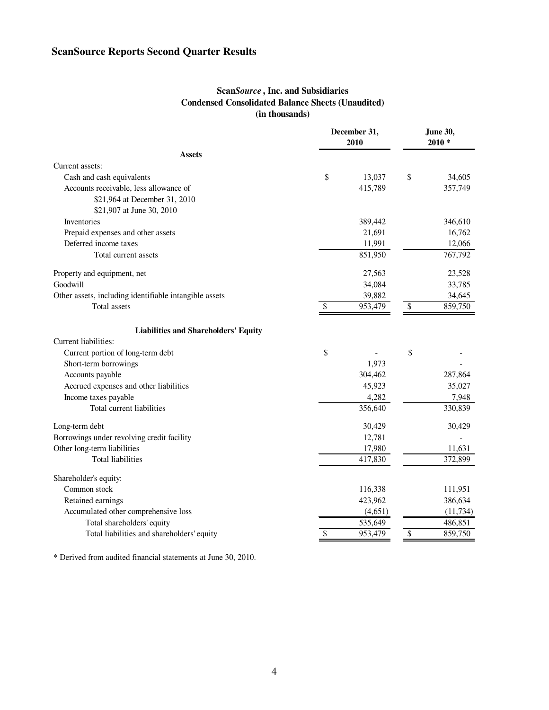# **Scan***Source* **, Inc. and Subsidiaries Condensed Consolidated Balance Sheets (Unaudited) (in thousands)**

|                                                        | December 31,<br>2010 |         | <b>June 30,</b><br>$2010*$ |           |  |
|--------------------------------------------------------|----------------------|---------|----------------------------|-----------|--|
| <b>Assets</b>                                          |                      |         |                            |           |  |
| Current assets:                                        |                      |         |                            |           |  |
| Cash and cash equivalents                              | \$                   | 13,037  | \$                         | 34,605    |  |
| Accounts receivable, less allowance of                 |                      | 415,789 |                            | 357,749   |  |
| \$21,964 at December 31, 2010                          |                      |         |                            |           |  |
| \$21,907 at June 30, 2010                              |                      |         |                            |           |  |
| Inventories                                            |                      | 389,442 |                            | 346,610   |  |
| Prepaid expenses and other assets                      |                      | 21,691  |                            | 16,762    |  |
| Deferred income taxes                                  |                      | 11,991  |                            | 12,066    |  |
| Total current assets                                   |                      | 851,950 |                            | 767,792   |  |
| Property and equipment, net                            |                      | 27,563  |                            | 23,528    |  |
| Goodwill                                               |                      | 34,084  |                            | 33,785    |  |
| Other assets, including identifiable intangible assets |                      | 39,882  |                            | 34,645    |  |
| Total assets                                           | S                    | 953,479 | \$                         | 859,750   |  |
| <b>Liabilities and Shareholders' Equity</b>            |                      |         |                            |           |  |
| Current liabilities:                                   |                      |         |                            |           |  |
| Current portion of long-term debt                      | \$                   |         | \$                         |           |  |
| Short-term borrowings                                  |                      | 1,973   |                            |           |  |
| Accounts payable                                       |                      | 304,462 |                            | 287,864   |  |
| Accrued expenses and other liabilities                 |                      | 45,923  |                            | 35,027    |  |
| Income taxes payable                                   |                      | 4,282   |                            | 7,948     |  |
| Total current liabilities                              |                      | 356,640 |                            | 330,839   |  |
| Long-term debt                                         |                      | 30,429  |                            | 30,429    |  |
| Borrowings under revolving credit facility             |                      | 12,781  |                            |           |  |
| Other long-term liabilities                            |                      | 17,980  |                            | 11,631    |  |
| <b>Total liabilities</b>                               |                      | 417,830 |                            | 372,899   |  |
| Shareholder's equity:                                  |                      |         |                            |           |  |
| Common stock                                           |                      | 116,338 |                            | 111,951   |  |
| Retained earnings                                      |                      | 423,962 |                            | 386,634   |  |
| Accumulated other comprehensive loss                   |                      | (4,651) |                            | (11, 734) |  |
| Total shareholders' equity                             |                      | 535,649 |                            | 486,851   |  |
| Total liabilities and shareholders' equity             | \$                   | 953,479 | \$                         | 859,750   |  |

\* Derived from audited financial statements at June 30, 2010.